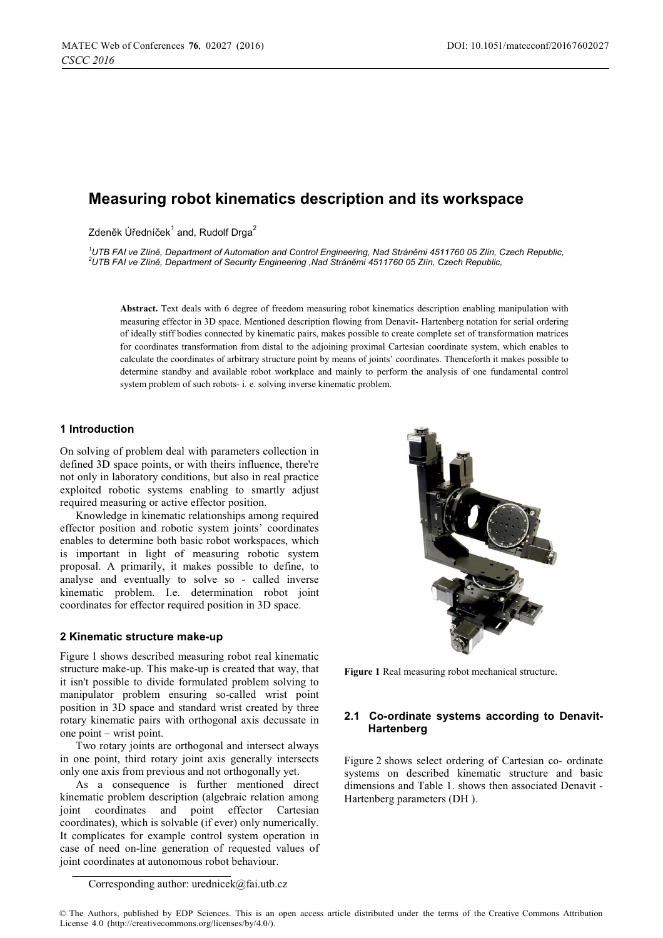# **Measuring robot kinematics description and its workspace**

Zdeněk Úředníček $^1$  and, Rudolf Drga $^2$ 

<sup>1</sup>UTB FAI ve Zlíně, Department of Automation and Control Engineering, Nad Stráněmi 4511760 05 Zlín, Czech Republic,<br><sup>2</sup>UTB EAU ve Zlíně, Department of Sequrity Engineering, Nad Stráněmi 4511760 05 Zlín, Czech Benublic *UTB FAI ve Zlín-, Department of Security Engineering ,Nad Strán-mi 4511760 05 Zlín, Czech Republic,* 

**Abstract.** Text deals with 6 degree of freedom measuring robot kinematics description enabling manipulation with measuring effector in 3D space. Mentioned description flowing from Denavit- Hartenberg notation for serial ordering of ideally stiff bodies connected by kinematic pairs, makes possible to create complete set of transformation matrices for coordinates transformation from distal to the adjoining proximal Cartesian coordinate system, which enables to calculate the coordinates of arbitrary structure point by means of joints' coordinates. Thenceforth it makes possible to determine standby and available robot workplace and mainly to perform the analysis of one fundamental control system problem of such robots- i. e. solving inverse kinematic problem.

### **1 Introduction**

On solving of problem deal with parameters collection in defined 3D space points, or with theirs influence, there're not only in laboratory conditions, but also in real practice exploited robotic systems enabling to smartly adjust required measuring or active effector position.

Knowledge in kinematic relationships among required effector position and robotic system joints' coordinates enables to determine both basic robot workspaces, which is important in light of measuring robotic system proposal. A primarily, it makes possible to define, to analyse and eventually to solve so - called inverse kinematic problem. I.e. determination robot joint coordinates for effector required position in 3D space.

#### **2 Kinematic structure make-up**

Figure 1 shows described measuring robot real kinematic structure make-up. This make-up is created that way, that it isn't possible to divide formulated problem solving to manipulator problem ensuring so-called wrist point position in 3D space and standard wrist created by three rotary kinematic pairs with orthogonal axis decussate in one point – wrist point.

Two rotary joints are orthogonal and intersect always in one point, third rotary joint axis generally intersects only one axis from previous and not orthogonally yet.

As a consequence is further mentioned direct kinematic problem description (algebraic relation among joint coordinates and point effector Cartesian coordinates), which is solvable (if ever) only numerically. It complicates for example control system operation in case of need on-line generation of requested values of joint coordinates at autonomous robot behaviour.



**Figure 1** Real measuring robot mechanical structure.

### **2.1 Co-ordinate systems according to Denavit-Hartenberg**

Figure 2 shows select ordering of Cartesian co- ordinate systems on described kinematic structure and basic dimensions and Table 1. shows then associated Denavit - Hartenberg parameters (DH ).

Corresponding author: urednicek@fai.utb.cz

<sup>©</sup> The Authors, published by EDP Sciences. This is an open access article distributed under the terms of the Creative Commons Attribution License 4.0 (http://creativecommons.org/licenses/by/4.0/).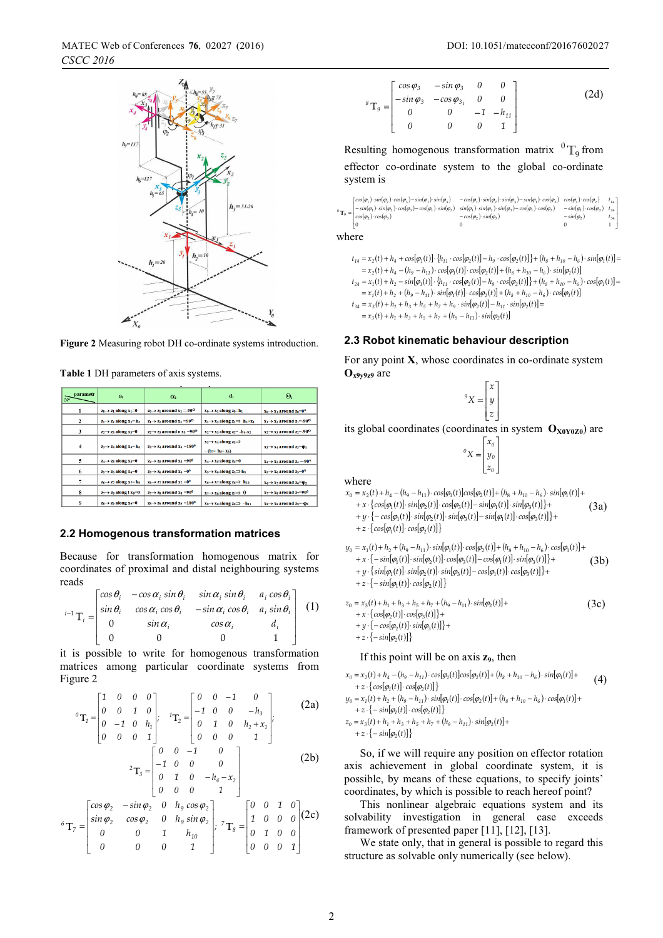

**Figure 2** Measuring robot DH co-ordinate systems introduction.

**Table 1** DH parameters of axis systems.

| parametr<br>N° | $a_i$                                   | $\alpha_i$                                          | $d_i$                                                                 | $\Theta_i$                                        |
|----------------|-----------------------------------------|-----------------------------------------------------|-----------------------------------------------------------------------|---------------------------------------------------|
|                | $z_0 \rightarrow z_1$ along $x_1=0$     | $z_0 \rightarrow z_1$ around $x_1 = -90^\circ$      | $x_0 \rightarrow x_1$ along $z_0 = h_1$                               | $x_0 \rightarrow x_1$ around $z_0=0$ <sup>o</sup> |
| 2              | $z_1 \rightarrow z_2$ along $x_2 = h_3$ | $z_1 \rightarrow z_2$ around $x_2 = 90^\circ$       | $x_1 \rightarrow x_2$ along $z_1 \rightarrow h_2+x_1$                 | $x_1 \rightarrow x_2$ around $z_1 = -90^\circ$    |
| 3              | $z_2 \rightarrow z_3$ along $x_3=0$     | $z_2 \rightarrow z_3$ around o $x_3 = 90^\circ$     | $x_2 \rightarrow x_3$ along $z_2 = -h_4 - x_2$                        | $x_2 \rightarrow x_3$ around $z_2 = -90^\circ$    |
| $\overline{4}$ | $z_3 \rightarrow z_4$ along $x_4 = h_6$ | $z_3 \rightarrow z_4$ around $x_4 = 180^0$          | $x_3 \rightarrow x_4$ along $z_3 \rightarrow$<br>$-(h_7 + h_5 + x_3)$ | $x_3 \rightarrow x_4$ around $x_3 = \varphi_1$    |
| 5              | $z_4 \rightarrow z_5$ along $x_5=0$     | $z_4 \rightarrow z_5$ around $x_5 = 90^0$           | $x_4 \rightarrow x_5$ along $z_4=0$                                   | $x_4 \rightarrow x_5$ around $z_4 = -90^\circ$    |
| 6              | $z_5 \rightarrow z_6$ along $x_6=0$     | $z_5 \rightarrow z_6$ around $x_6 = 0$ <sup>0</sup> | $x_5 \rightarrow x_6$ along $z_5 \rightarrow h_8$                     | $x_5 \rightarrow x_6$ around $z_5=0$ <sup>0</sup> |
|                | $z_6 \rightarrow z_7$ along $x_7 = h_9$ | $z_6 \rightarrow z_7$ around $x_7 = 0$ <sup>0</sup> | $x_6 \rightarrow x_7$ along $z_6 \rightarrow h_{10}$                  | $x_6 \rightarrow x_7$ around $z_6 = \varphi_2$    |
| 8              | $z_7 \rightarrow z_8$ along l $x_8=0$   | $z_7 \rightarrow z_8$ around $x_8 = 90^0$           | $x_7 \rightarrow x_8$ along $z_7 \rightarrow 0$                       | $x_7 \rightarrow x_8$ around $z_7 = 90^\circ$     |
| 9              | $z_8 \rightarrow z_9$ along $x_9=0$     | $z_8 \rightarrow z_9$ around $x_9 = 180^\circ$      | $x_8 \rightarrow x_9$ along $z_8 \rightarrow -h_{11}$                 | $x_8 \rightarrow x_9$ around $z_8 = -\varphi_3$   |

#### **2.2 Homogenous transformation matrices**

Because for transformation homogenous matrix for coordinates of proximal and distal neighbouring systems reads

$$
{}^{i-1}\mathbf{T}_i = \begin{bmatrix} \cos\theta_i & -\cos\alpha_i\sin\theta_i & \sin\alpha_i\sin\theta_i & a_i\cos\theta_i \\ \sin\theta_i & \cos\alpha_i\cos\theta_i & -\sin\alpha_i\cos\theta_i & a_i\sin\theta_i \\ 0 & \sin\alpha_i & \cos\alpha_i & d_i \\ 0 & 0 & 0 & 1 \end{bmatrix} \quad (1)
$$

it is possible to write for homogenous transformation matrices among particular coordinate systems from Figure 2

$$
{}^{0}\mathbf{T}_{1} = \begin{bmatrix} 1 & 0 & 0 & 0 \\ 0 & 0 & 1 & 0 \\ 0 & -1 & 0 & h_{1} \\ 0 & 0 & 0 & 0 \end{bmatrix}; {}^{1}\mathbf{T}_{2} = \begin{bmatrix} 0 & 0 & -1 & 0 \\ -1 & 0 & 0 & -h_{3} \\ 0 & 1 & 0 & h_{2} + x_{1} \\ 0 & 0 & 0 & 0 \end{bmatrix};
$$
 (2a)

$$
\begin{bmatrix} 0 & 0 & 0 & 1 \end{bmatrix} \begin{bmatrix} 0 & 0 & 0 & 1 \ 0 & 0 & 0 & 1 \end{bmatrix}
$$
  

$$
{}^{2}\mathbf{T}_{3} = \begin{bmatrix} 0 & 0 & -1 & 0 \ -1 & 0 & 0 & 0 \ 0 & 1 & 0 & -h_{4} - x_{2} \end{bmatrix}
$$
 (2b)

$$
{}_{6}T_{7} = \begin{bmatrix} \cos\varphi_{2} & -\sin\varphi_{2} & 0 & h_{9}\cos\varphi_{2} \\ \sin\varphi_{2} & \cos\varphi_{2} & 0 & h_{9}\sin\varphi_{2} \\ 0 & 0 & 1 & h_{10} \\ 0 & 0 & 0 & 1 \end{bmatrix} \begin{bmatrix} 0 & 0 & 1 & 0 \\ 1 & 0 & 0 & 0 \\ 0 & 1 & 0 & 0 \\ 0 & 0 & 0 & 1 \end{bmatrix} (2c)
$$

$$
{}^{8} \mathbf{T}_{9} = \begin{bmatrix} \cos \varphi_{3} & -\sin \varphi_{3} & 0 & 0 \\ -\sin \varphi_{3} & -\cos \varphi_{3} & 0 & 0 \\ 0 & 0 & -1 & -h_{11} \\ 0 & 0 & 0 & 1 \end{bmatrix}
$$
(2d)

Resulting homogenous transformation matrix  ${}^{0}T_{9}$  from effector co-ordinate system to the global co-ordinate system is

| $\mathbf{T}_9 =$ | $\int \cos(\varphi_1) \cdot \sin(\varphi_2) \cdot \cos(\varphi_3) - \sin(\varphi_1) \cdot \sin(\varphi_3)$<br>$-sin(\varphi_1)\cdot sin(\varphi_2)\cdot cos(\varphi_3) - cos(\varphi_1)\cdot sin(\varphi_3) \quad sin(\varphi_1)\cdot sin(\varphi_2)\cdot sin(\varphi_3) - cos(\varphi_1)\cdot cos(\varphi_3)$<br>$cos(\varphi_2) \cdot cos(\varphi_3)$ | $-cos(\varphi_1) \cdot sin(\varphi_2) \cdot sin(\varphi_3) - sin(\varphi_1) \cdot cos(\varphi_3)$<br>$-cos(\varphi_2) \cdot sin(\varphi_3)$ | $cos(\varphi_1) \cdot cos(\varphi_2)$<br>$-sin(\varphi_1)\cdot cos(\varphi_2)$<br>$-sin(\varphi_2)$ | $t_{14}$ ]<br>$t_{24}$<br>$t_{34}$ |  |
|------------------|---------------------------------------------------------------------------------------------------------------------------------------------------------------------------------------------------------------------------------------------------------------------------------------------------------------------------------------------------------|---------------------------------------------------------------------------------------------------------------------------------------------|-----------------------------------------------------------------------------------------------------|------------------------------------|--|
| where            |                                                                                                                                                                                                                                                                                                                                                         |                                                                                                                                             |                                                                                                     |                                    |  |

- $t_{14} = x_2(t) + h_4 + cos[\varphi_1(t)] \cdot \{h_{11} \cdot cos[\varphi_2(t)] h_9 \cdot cos[\varphi_2(t)]\} + (h_8 + h_{10} h_6) \cdot sin[\varphi_1(t)] =$  $= x_2(t) + h_4 - (h_9 - h_{11}) \cdot cos[\varphi_1(t)] \cdot cos[\varphi_2(t)] + (h_8 + h_{10} - h_6) \cdot sin[\varphi_1(t)]$
- $t_{24} = x_1(t) + h_2 \sin[\varphi_1(t)] \cdot [h_{11} \cdot \cos[\varphi_2(t)] h_9 \cdot \cos[\varphi_2(t)] \} + (h_8 + h_{10} h_6) \cdot \cos[\varphi_1(t)] =$
- $= x_1(t) + h_2 + (h_9 h_{11}) \cdot \sin[\varphi_1(t)] \cdot \cos[\varphi_2(t)] + (h_8 + h_{10} h_6) \cdot \cos[\varphi_1(t)]$
- $t_{34} = x_3(t) + h_1 + h_3 + h_5 + h_7 + h_9 \cdot \sin[\varphi_2(t)] h_{11} \cdot \sin[\varphi_2(t)] =$

 $= x_3(t) + h_1 + h_3 + h_5 + h_7 + (h_9 - h_{11}) \cdot \sin[\varphi_2(t)]$ 

#### **2.3 Robot kinematic behaviour description**

For any point **X**, whose coordinates in co-ordinate system **Ox9y9z9** are

$$
{}^{9}X = \begin{bmatrix} x \\ y \\ z \end{bmatrix}
$$

its global coordinates (coordinates in system  $O_{X0Y0Z0}$ ) are

$$
{}^{0}X = \begin{bmatrix} x_0 \\ y_0 \\ z_0 \end{bmatrix}
$$

---

٦

where

- $x_0 = x_2(t) + h_4 (h_9 h_{11}) \cdot \cos[\varphi_1(t)]\cos[\varphi_2(t)] + (h_8 + h_{10} h_6) \cdot \sin[\varphi_1(t)] +$ 
	- $+ x \cdot {\cos[\varphi_1(t)] \cdot \sin[\varphi_2(t)] \cdot \cos[\varphi_3(t)] \sin[\varphi_1(t)] \cdot \sin[\varphi_3(t)]} +$ (3a)
	- $+ y \cdot \{-cos[\varphi_1(t)] \cdot sin[\varphi_2(t)] \cdot sin[\varphi_3(t)] sin[\varphi_1(t)] \cdot cos[\varphi_3(t)] \} +$

 $+z \cdot {\cos[\varphi_1(t)] \cdot \cos[\varphi_2(t)]}$ 

 $y_0 = x_1(t) + h_2 + (h_9 - h_{11}) \cdot \sin[\varphi_1(t)] \cdot \cos[\varphi_2(t)] + (h_8 + h_{10} - h_6) \cdot \cos[\varphi_1(t)] +$  $+ x \cdot \{-\sin[\varphi_1(t)] \cdot \sin[\varphi_2(t)] \cdot \cos[\varphi_3(t)] - \cos[\varphi_1(t)] \cdot \sin[\varphi_3(t)]\} +$  $+ y \cdot {\sin[\varphi_1(t)] \cdot \sin[\varphi_2(t)] \cdot \sin[\varphi_3(t)] - \cos[\varphi_1(t)] \cdot \cos[\varphi_3(t)]} +$ (3b)

```
+z \cdot \{-\sin[\varphi_1(t)] \cdot \cos[\varphi_2(t)]\}
```

$$
z_0 = x_3(t) + h_1 + h_3 + h_5 + h_7 + (h_9 - h_{11}) \cdot \sin[\varphi_2(t)] ++ x \cdot {\cos[\varphi_2(t)] \cdot \cos[\varphi_3(t)] } ++ y \cdot {\cos[\varphi_2(t)] \cdot \sin[\varphi_3(t)] } ++ z \cdot {\cos[\varphi_2(t)] }
$$
(3c)

#### If this point will be on axis  $z_9$ , then

 $x_0 = x_2(t) + h_4 - (h_9 - h_{11}) \cdot \cos[\varphi_1(t)]\cos[\varphi_2(t)] + (h_8 + h_{10} - h_6) \cdot \sin[\varphi_1(t)] +$  (4)  $+z \cdot \big\{ cos[\varphi_1(t)] \cdot cos[\varphi_2(t)] \big\}$ 

- $y_0 = x_1(t) + h_2 + (h_9 h_{11}) \cdot \sin[\varphi_1(t)] \cdot \cos[\varphi_2(t)] + (h_8 + h_{10} h_6) \cdot \cos[\varphi_1(t)] +$  $+z \cdot \{-\sin[\varphi_1(t)] \cdot \cos[\varphi_2(t)]\}$
- $z_0 = x_3(t) + h_1 + h_3 + h_5 + h_7 + (h_9 h_{11}) \cdot \sin[\varphi_2(t)] +$  $+z \cdot \{-\sin[\varphi_2(t)]\}$

So, if we will require any position on effector rotation axis achievement in global coordinate system, it is possible, by means of these equations, to specify joints' coordinates, by which is possible to reach hereof point?

This nonlinear algebraic equations system and its solvability investigation in general case exceeds framework of presented paper [11], [12], [13].

We state only, that in general is possible to regard this structure as solvable only numerically (see below).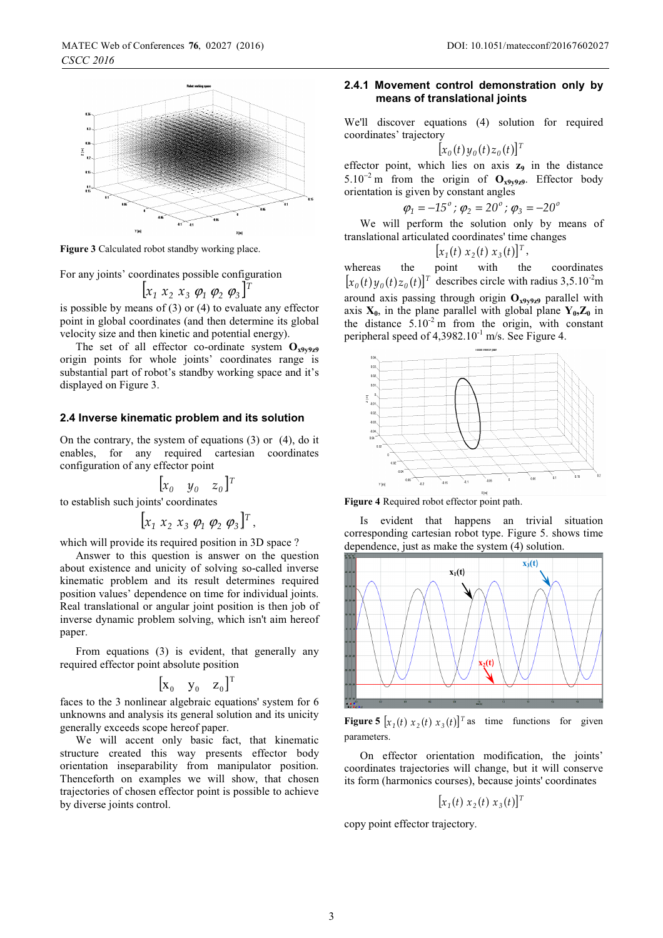

**Figure 3** Calculated robot standby working place.

For any joints' coordinates possible configuration

$$
[x_1\ x_2\ x_3\ \varphi_1\ \varphi_2\ \varphi_3]^T
$$

is possible by means of (3) or (4) to evaluate any effector point in global coordinates (and then determine its global velocity size and then kinetic and potential energy).

The set of all effector co-ordinate system  $O_{x9y9z9}$ origin points for whole joints' coordinates range is substantial part of robot's standby working space and it's displayed on Figure 3.

#### **2. Inverse kinematic problem and its solution 4**

On the contrary, the system of equations (3) or (4), do it enables, for any required cartesian coordinates configuration of any effector point

 $[x_{0} \quad y_{0} \quad z_{0}]^{T}$ to establish such joints' coordinates

$$
[x_1 \; x_2 \; x_3 \; \varphi_1 \; \varphi_2 \; \varphi_3]^T,
$$

which will provide its required position in 3D space ?

Answer to this question is answer on the question about existence and unicity of solving so-called inverse kinematic problem and its result determines required position values' dependence on time for individual joints. Real translational or angular joint position is then job of inverse dynamic problem solving, which isn't aim hereof paper.

From equations (3) is evident, that generally any required effector point absolute position

$$
\begin{bmatrix} \mathbf{x}_0 & \mathbf{y}_0 & \mathbf{z}_0 \end{bmatrix}^T
$$

faces to the 3 nonlinear algebraic equations' system for 6 unknowns and analysis its general solution and its unicity generally exceeds scope hereof paper.

We will accent only basic fact, that kinematic structure created this way presents effector body orientation inseparability from manipulator position. Thenceforth on examples we will show, that chosen trajectories of chosen effector point is possible to achieve by diverse joints control.

#### **2. .1 Movement control demonstration only by 4means of translational joints**

We'll discover equations (4) solution for required coordinates' trajectory

$$
[x_0(t)y_0(t)z_0(t)]^T
$$

effector point, which lies on axis  $z_9$  in the distance  $5.10^{-2}$  m from the origin of  $\mathbf{O}_{\mathbf{x9y9z9}}$ . Effector body orientation is given by constant angles orientation is given by constant angles

$$
\varphi_1 = -15^\circ
$$
;  $\varphi_2 = 20^\circ$ ;  $\varphi_3 = -20^\circ$ 

We will perform the solution only by means of translational articulated coordinates' time changes

$$
[x_1(t) \; x_2(t) \; x_3(t)]^T,
$$

whereas the point with the coordinates  $[x_0(t)y_0(t)z_0(t)]^T$  describes circle with radius 3,5.10<sup>-2</sup>m around axis passing through origin  $O_{x9y9z9}$  parallel with axis  $X_0$ , in the plane parallel with global plane  $Y_0$ ,  $Z_0$  in the distance  $5.10^{-2}$  m from the origin, with constant peripheral speed of  $4,3982.10^{-1}$  m/s. See Figure 4.



**Figure 4** Required robot effector point path.

Is evident that happens an trivial situation corresponding cartesian robot type. Figure 5. shows time dependence, just as make the system (4) solution.



**Figure 5**  $[x_1(t) x_2(t) x_3(t)]^T$  as time functions for given parameters.

On effector orientation modification, the joints' coordinates trajectories will change, but it will conserve its form (harmonics courses), because joints' coordinates

 $[x_1(t) x_2(t) x_3(t)]^T$ 

copy point effector trajectory.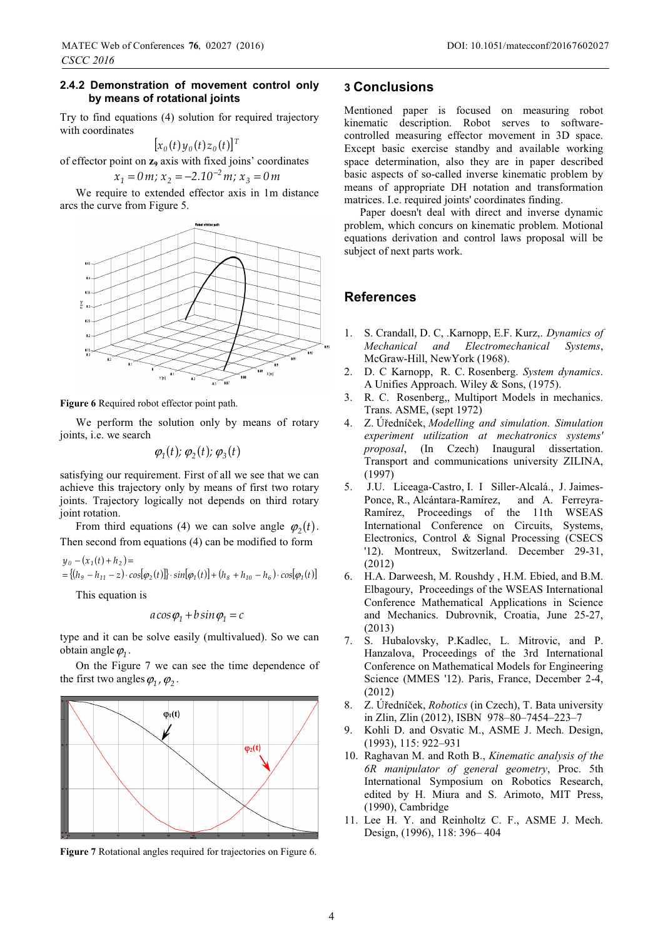Try to find equations (4) solution for required trajectory with coordinates

$$
[x_0(t)y_0(t)z_0(t)]^T
$$

of effector point on **z<sub>9</sub>** axis with fixed joins' coordinates<br> $x_1 = 0$  m:  $x_2 = -2.10^{-2}$  m:  $x_3 = 0$  m

$$
x_1 = 0
$$
 m;  $x_2 = -2.10^{-2}$  m;  $x_3 = 0$  m

We require to extended effector axis in 1m distance arcs the curve from Figure 5.



**Figure 6** Required robot effector point path.

We perform the solution only by means of rotary joints, i.e. we search

$$
\varphi_1(t); \varphi_2(t); \varphi_3(t)
$$

satisfying our requirement. First of all we see that we can achieve this trajectory only by means of first two rotary joints. Trajectory logically not depends on third rotary joint rotation.

From third equations (4) we can solve angle  $\varphi_2(t)$ . Then second from equations (4) can be modified to form

$$
y_0 - (x_1(t) + h_2) =
$$
  
= { $(h_9 - h_{11} - z) \cdot \cos[\varphi_2(t)]$ } \cdot \sin[\varphi\_1(t)] + (h\_8 + h\_{10} - h\_6) \cdot \cos[\varphi\_1(t)]

This equation is

$$
a\cos\varphi_1 + b\sin\varphi_1 = c
$$

type and it can be solve easily (multivalued). So we can obtain angle  $\varphi_1$ .

On the Figure 7 we can see the time dependence of the first two angles  $\varphi_1$ ,  $\varphi_2$ .



**Figure 7** Rotational angles required for trajectories on Figure 6.

## **3 Conclusions**

Mentioned paper is focused on measuring robot kinematic description. Robot serves to softwarecontrolled measuring effector movement in 3D space. Except basic exercise standby and available working space determination, also they are in paper described basic aspects of so-called inverse kinematic problem by means of appropriate DH notation and transformation matrices. I.e. required joints' coordinates finding.

Paper doesn't deal with direct and inverse dynamic problem, which concurs on kinematic problem. Motional equations derivation and control laws proposal will be subject of next parts work.

## **References**

- 1. S. Crandall, D. C, .Karnopp, E.F. Kurz,. *Dynamics of Mechanical and Electromechanical Systems*, McGraw-Hill, NewYork (1968).
- 2. D. C Karnopp, R. C. Rosenberg. *System dynamics*. A Unifies Approach. Wiley & Sons, (1975).
- 3. R. C. Rosenberg,, Multiport Models in mechanics. Trans. ASME, (sept 1972)
- 4. Z. Úředníček, Modelling and simulation. Simulation *experiment utilization at mechatronics systems' proposal*, (In Czech) Inaugural dissertation. Transport and communications university ZILINA, (1997)
- 5. J.U. Liceaga-Castro, I. I Siller-Alcalá., J. Jaimes-Ponce, R., Alcántara-Ramírez, and A. Ferreyra-Ramírez, Proceedings of the 11th WSEAS International Conference on Circuits, Systems, Electronics, Control & Signal Processing (CSECS '12). Montreux, Switzerland. December 29-31, (2012)
- 6. H.A. Darweesh, M. Roushdy , H.M. Ebied, and B.M. Elbagoury, Proceedings of the WSEAS International Conference Mathematical Applications in Science and Mechanics. Dubrovnik, Croatia, June 25-27, (2013)
- 7. S. Hubalovsky, P.Kadlec, L. Mitrovic, and P. Hanzalova, Proceedings of the 3rd International Conference on Mathematical Models for Engineering Science (MMES '12). Paris, France, December 2-4, (2012)
- 8. Ż. Úředníček, *Robotics* (in Czech), T. Bata university in Zlin, Zlin (2012), ISBN 978–80–7454–223–7
- 9. Kohli D. and Osvatic M., ASME J. Mech. Design, (1993), 115: 922–931
- 10. Raghavan M. and Roth B., *Kinematic analysis of the 6R manipulator of general geometry*, Proc. 5th International Symposium on Robotics Research, edited by H. Miura and S. Arimoto, MIT Press, (1990), Cambridge
- 11. Lee H. Y. and Reinholtz C. F., ASME J. Mech. Design, (1996), 118: 396– 404